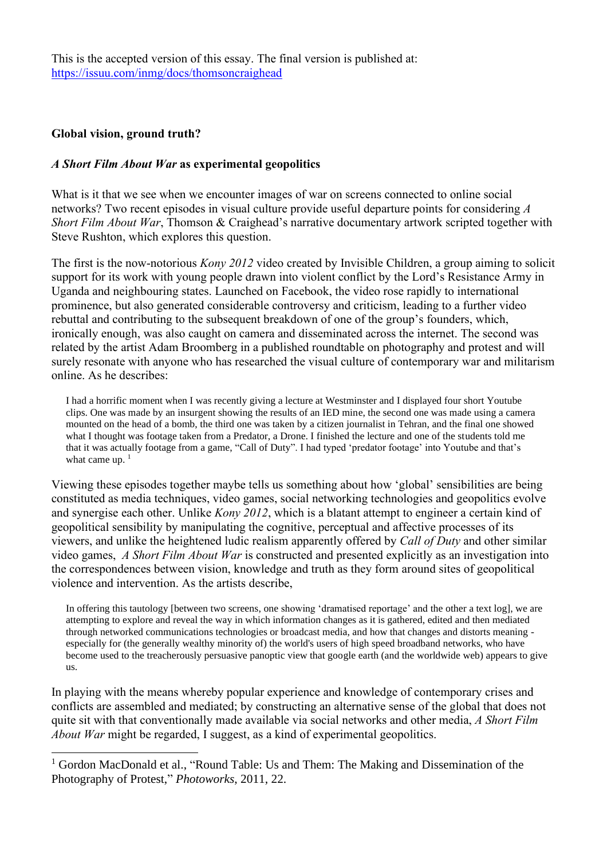This is the accepted version of this essay. The final version is published at: <https://issuu.com/inmg/docs/thomsoncraighead>

## **Global vision, ground truth?**

## *A Short Film About War* **as experimental geopolitics**

What is it that we see when we encounter images of war on screens connected to online social networks? Two recent episodes in visual culture provide useful departure points for considering *A Short Film About War*, Thomson & Craighead's narrative documentary artwork scripted together with Steve Rushton, which explores this question.

The first is the now-notorious *Kony 2012* video created by Invisible Children, a group aiming to solicit support for its work with young people drawn into violent conflict by the Lord's Resistance Army in Uganda and neighbouring states. Launched on Facebook, the video rose rapidly to international prominence, but also generated considerable controversy and criticism, leading to a further video rebuttal and contributing to the subsequent breakdown of one of the group's founders, which, ironically enough, was also caught on camera and disseminated across the internet. The second was related by the artist Adam Broomberg in a published roundtable on photography and protest and will surely resonate with anyone who has researched the visual culture of contemporary war and militarism online. As he describes:

I had a horrific moment when I was recently giving a lecture at Westminster and I displayed four short Youtube clips. One was made by an insurgent showing the results of an IED mine, the second one was made using a camera mounted on the head of a bomb, the third one was taken by a citizen journalist in Tehran, and the final one showed what I thought was footage taken from a Predator, a Drone. I finished the lecture and one of the students told me that it was actually footage from a game, "Call of Duty". I had typed 'predator footage' into Youtube and that's what came up.  $1$ 

Viewing these episodes together maybe tells us something about how 'global' sensibilities are being constituted as media techniques, video games, social networking technologies and geopolitics evolve and synergise each other. Unlike *Kony 2012*, which is a blatant attempt to engineer a certain kind of geopolitical sensibility by manipulating the cognitive, perceptual and affective processes of its viewers, and unlike the heightened ludic realism apparently offered by *Call of Duty* and other similar video games, *A Short Film About War* is constructed and presented explicitly as an investigation into the correspondences between vision, knowledge and truth as they form around sites of geopolitical violence and intervention. As the artists describe,

In offering this tautology [between two screens, one showing 'dramatised reportage' and the other a text log], we are attempting to explore and reveal the way in which information changes as it is gathered, edited and then mediated through networked communications technologies or broadcast media, and how that changes and distorts meaning especially for (the generally wealthy minority of) the world's users of high speed broadband networks, who have become used to the treacherously persuasive panoptic view that google earth (and the worldwide web) appears to give us.

In playing with the means whereby popular experience and knowledge of contemporary crises and conflicts are assembled and mediated; by constructing an alternative sense of the global that does not quite sit with that conventionally made available via social networks and other media, *A Short Film About War* might be regarded, I suggest, as a kind of experimental geopolitics.

<sup>&</sup>lt;sup>1</sup> Gordon MacDonald et al., "Round Table: Us and Them: The Making and Dissemination of the Photography of Protest," *Photoworks*, 2011, 22.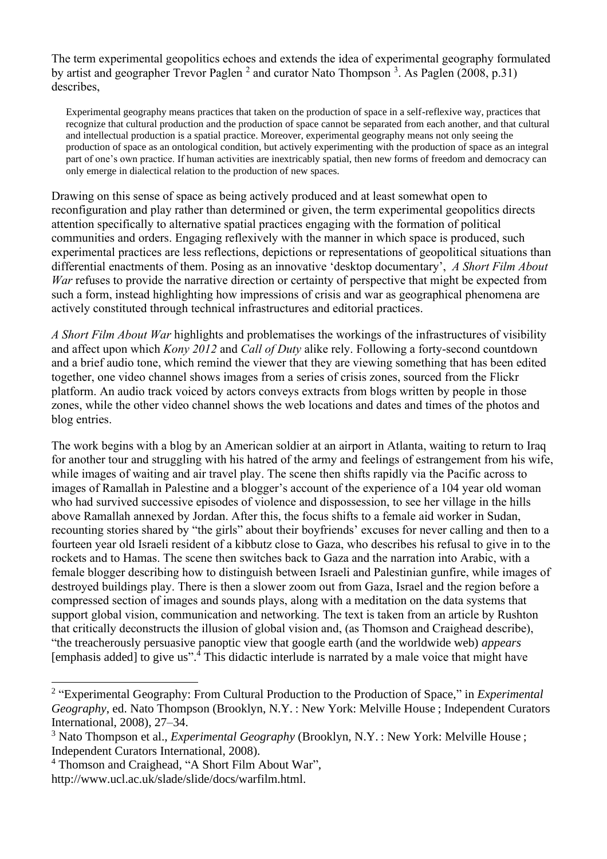The term experimental geopolitics echoes and extends the idea of experimental geography formulated by artist and geographer Trevor Paglen <sup>2</sup> and curator Nato Thompson <sup>3</sup>. As Paglen (2008, p.31) describes,

Experimental geography means practices that taken on the production of space in a self-reflexive way, practices that recognize that cultural production and the production of space cannot be separated from each another, and that cultural and intellectual production is a spatial practice. Moreover, experimental geography means not only seeing the production of space as an ontological condition, but actively experimenting with the production of space as an integral part of one's own practice. If human activities are inextricably spatial, then new forms of freedom and democracy can only emerge in dialectical relation to the production of new spaces.

Drawing on this sense of space as being actively produced and at least somewhat open to reconfiguration and play rather than determined or given, the term experimental geopolitics directs attention specifically to alternative spatial practices engaging with the formation of political communities and orders. Engaging reflexively with the manner in which space is produced, such experimental practices are less reflections, depictions or representations of geopolitical situations than differential enactments of them. Posing as an innovative 'desktop documentary', *A Short Film About War* refuses to provide the narrative direction or certainty of perspective that might be expected from such a form, instead highlighting how impressions of crisis and war as geographical phenomena are actively constituted through technical infrastructures and editorial practices.

*A Short Film About War* highlights and problematises the workings of the infrastructures of visibility and affect upon which *Kony 2012* and *Call of Duty* alike rely. Following a forty-second countdown and a brief audio tone, which remind the viewer that they are viewing something that has been edited together, one video channel shows images from a series of crisis zones, sourced from the Flickr platform. An audio track voiced by actors conveys extracts from blogs written by people in those zones, while the other video channel shows the web locations and dates and times of the photos and blog entries.

The work begins with a blog by an American soldier at an airport in Atlanta, waiting to return to Iraq for another tour and struggling with his hatred of the army and feelings of estrangement from his wife, while images of waiting and air travel play. The scene then shifts rapidly via the Pacific across to images of Ramallah in Palestine and a blogger's account of the experience of a 104 year old woman who had survived successive episodes of violence and dispossession, to see her village in the hills above Ramallah annexed by Jordan. After this, the focus shifts to a female aid worker in Sudan, recounting stories shared by "the girls" about their boyfriends' excuses for never calling and then to a fourteen year old Israeli resident of a kibbutz close to Gaza, who describes his refusal to give in to the rockets and to Hamas. The scene then switches back to Gaza and the narration into Arabic, with a female blogger describing how to distinguish between Israeli and Palestinian gunfire, while images of destroyed buildings play. There is then a slower zoom out from Gaza, Israel and the region before a compressed section of images and sounds plays, along with a meditation on the data systems that support global vision, communication and networking. The text is taken from an article by Rushton that critically deconstructs the illusion of global vision and, (as Thomson and Craighead describe), "the treacherously persuasive panoptic view that google earth (and the worldwide web) *appears* [emphasis added] to give us".<sup>4</sup> This didactic interlude is narrated by a male voice that might have

<sup>2</sup> "Experimental Geography: From Cultural Production to the Production of Space," in *Experimental Geography*, ed. Nato Thompson (Brooklyn, N.Y. : New York: Melville House ; Independent Curators International, 2008), 27–34.

<sup>&</sup>lt;sup>3</sup> Nato Thompson et al., *Experimental Geography* (Brooklyn, N.Y.: New York: Melville House; Independent Curators International, 2008).

<sup>4</sup> Thomson and Craighead, "A Short Film About War",

http://www.ucl.ac.uk/slade/slide/docs/warfilm.html.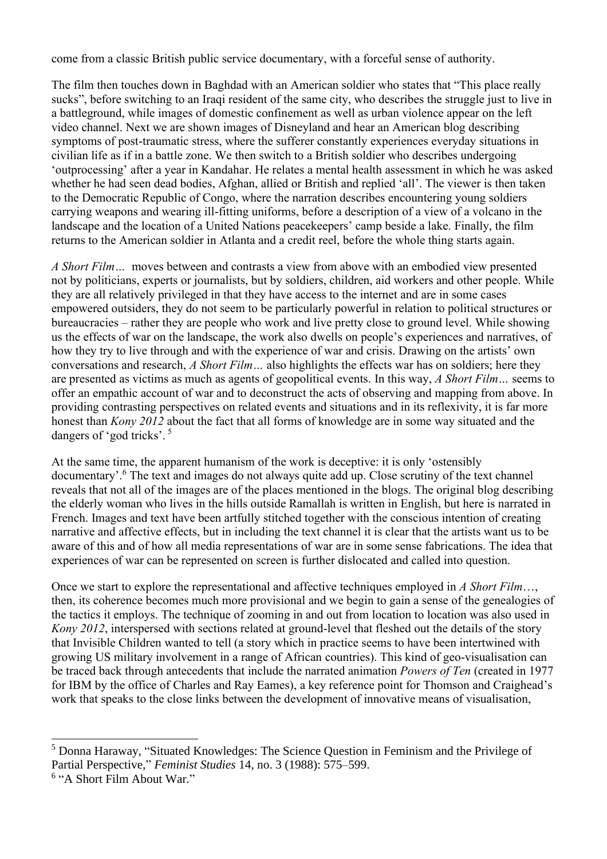come from a classic British public service documentary, with a forceful sense of authority.

The film then touches down in Baghdad with an American soldier who states that "This place really sucks", before switching to an Iraqi resident of the same city, who describes the struggle just to live in a battleground, while images of domestic confinement as well as urban violence appear on the left video channel. Next we are shown images of Disneyland and hear an American blog describing symptoms of post-traumatic stress, where the sufferer constantly experiences everyday situations in civilian life as if in a battle zone. We then switch to a British soldier who describes undergoing 'outprocessing' after a year in Kandahar. He relates a mental health assessment in which he was asked whether he had seen dead bodies, Afghan, allied or British and replied 'all'. The viewer is then taken to the Democratic Republic of Congo, where the narration describes encountering young soldiers carrying weapons and wearing ill-fitting uniforms, before a description of a view of a volcano in the landscape and the location of a United Nations peacekeepers' camp beside a lake. Finally, the film returns to the American soldier in Atlanta and a credit reel, before the whole thing starts again.

*A Short Film…* moves between and contrasts a view from above with an embodied view presented not by politicians, experts or journalists, but by soldiers, children, aid workers and other people. While they are all relatively privileged in that they have access to the internet and are in some cases empowered outsiders, they do not seem to be particularly powerful in relation to political structures or bureaucracies – rather they are people who work and live pretty close to ground level. While showing us the effects of war on the landscape, the work also dwells on people's experiences and narratives, of how they try to live through and with the experience of war and crisis. Drawing on the artists' own conversations and research, *A Short Film…* also highlights the effects war has on soldiers; here they are presented as victims as much as agents of geopolitical events. In this way, *A Short Film…* seems to offer an empathic account of war and to deconstruct the acts of observing and mapping from above. In providing contrasting perspectives on related events and situations and in its reflexivity, it is far more honest than *Kony 2012* about the fact that all forms of knowledge are in some way situated and the dangers of 'god tricks'. <sup>5</sup>

At the same time, the apparent humanism of the work is deceptive: it is only 'ostensibly documentary'.<sup>6</sup> The text and images do not always quite add up. Close scrutiny of the text channel reveals that not all of the images are of the places mentioned in the blogs. The original blog describing the elderly woman who lives in the hills outside Ramallah is written in English, but here is narrated in French. Images and text have been artfully stitched together with the conscious intention of creating narrative and affective effects, but in including the text channel it is clear that the artists want us to be aware of this and of how all media representations of war are in some sense fabrications. The idea that experiences of war can be represented on screen is further dislocated and called into question.

Once we start to explore the representational and affective techniques employed in *A Short Film*…, then, its coherence becomes much more provisional and we begin to gain a sense of the genealogies of the tactics it employs. The technique of zooming in and out from location to location was also used in *Kony 2012*, interspersed with sections related at ground-level that fleshed out the details of the story that Invisible Children wanted to tell (a story which in practice seems to have been intertwined with growing US military involvement in a range of African countries). This kind of geo-visualisation can be traced back through antecedents that include the narrated animation *Powers of Ten* (created in 1977 for IBM by the office of Charles and Ray Eames), a key reference point for Thomson and Craighead's work that speaks to the close links between the development of innovative means of visualisation,

<sup>5</sup> Donna Haraway, "Situated Knowledges: The Science Question in Feminism and the Privilege of Partial Perspective," *Feminist Studies* 14, no. 3 (1988): 575–599.

<sup>6</sup> "A Short Film About War."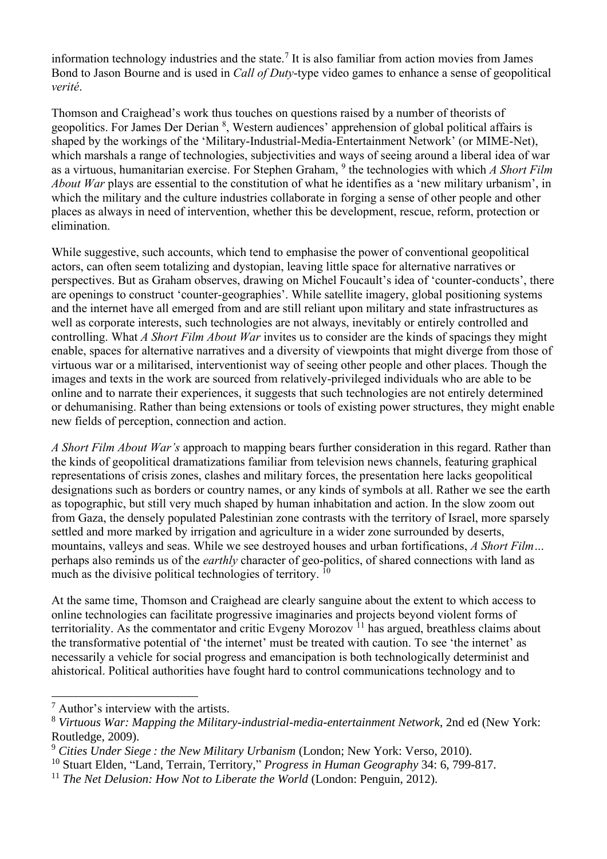information technology industries and the state.<sup>7</sup> It is also familiar from action movies from James Bond to Jason Bourne and is used in *Call of Duty*-type video games to enhance a sense of geopolitical *verité*.

Thomson and Craighead's work thus touches on questions raised by a number of theorists of geopolitics. For James Der Derian <sup>8</sup>, Western audiences' apprehension of global political affairs is shaped by the workings of the 'Military-Industrial-Media-Entertainment Network' (or MIME-Net), which marshals a range of technologies, subjectivities and ways of seeing around a liberal idea of war as a virtuous, humanitarian exercise. For Stephen Graham, 9 the technologies with which *A Short Film About War* plays are essential to the constitution of what he identifies as a 'new military urbanism', in which the military and the culture industries collaborate in forging a sense of other people and other places as always in need of intervention, whether this be development, rescue, reform, protection or elimination.

While suggestive, such accounts, which tend to emphasise the power of conventional geopolitical actors, can often seem totalizing and dystopian, leaving little space for alternative narratives or perspectives. But as Graham observes, drawing on Michel Foucault's idea of 'counter-conducts', there are openings to construct 'counter-geographies'. While satellite imagery, global positioning systems and the internet have all emerged from and are still reliant upon military and state infrastructures as well as corporate interests, such technologies are not always, inevitably or entirely controlled and controlling. What *A Short Film About War* invites us to consider are the kinds of spacings they might enable, spaces for alternative narratives and a diversity of viewpoints that might diverge from those of virtuous war or a militarised, interventionist way of seeing other people and other places. Though the images and texts in the work are sourced from relatively-privileged individuals who are able to be online and to narrate their experiences, it suggests that such technologies are not entirely determined or dehumanising. Rather than being extensions or tools of existing power structures, they might enable new fields of perception, connection and action.

*A Short Film About War's* approach to mapping bears further consideration in this regard. Rather than the kinds of geopolitical dramatizations familiar from television news channels, featuring graphical representations of crisis zones, clashes and military forces, the presentation here lacks geopolitical designations such as borders or country names, or any kinds of symbols at all. Rather we see the earth as topographic, but still very much shaped by human inhabitation and action. In the slow zoom out from Gaza, the densely populated Palestinian zone contrasts with the territory of Israel, more sparsely settled and more marked by irrigation and agriculture in a wider zone surrounded by deserts, mountains, valleys and seas. While we see destroyed houses and urban fortifications, *A Short Film…* perhaps also reminds us of the *earthly* character of geo-politics, of shared connections with land as much as the divisive political technologies of territory.<sup>10</sup>

At the same time, Thomson and Craighead are clearly sanguine about the extent to which access to online technologies can facilitate progressive imaginaries and projects beyond violent forms of territoriality. As the commentator and critic Evgeny Morozov  $^{11}$  has argued, breathless claims about the transformative potential of 'the internet' must be treated with caution. To see 'the internet' as necessarily a vehicle for social progress and emancipation is both technologically determinist and ahistorical. Political authorities have fought hard to control communications technology and to

<sup>7</sup> Author's interview with the artists.

<sup>8</sup> *Virtuous War: Mapping the Military-industrial-media-entertainment Network*, 2nd ed (New York: Routledge, 2009).

<sup>9</sup> *Cities Under Siege : the New Military Urbanism* (London; New York: Verso, 2010).

<sup>10</sup> Stuart Elden, "Land, Terrain, Territory," *Progress in Human Geography* 34: 6, 799-817.

<sup>&</sup>lt;sup>11</sup> *The Net Delusion: How Not to Liberate the World* (London: Penguin, 2012).